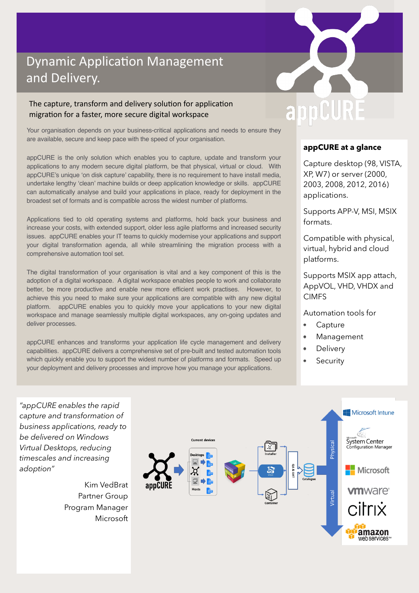### Dynamic Application Management and Delivery.

### The capture, transform and delivery solution for application migration for a faster, more secure digital workspace

Your organisation depends on your business-critical applications and needs to ensure they are available, secure and keep pace with the speed of your organisation.

appCURE is the only solution which enables you to capture, update and transform your applications to any modern secure digital platform, be that physical, virtual or cloud. With appCURE's unique 'on disk capture' capability, there is no requirement to have install media, undertake lengthy 'clean' machine builds or deep application knowledge or skills. appCURE can automatically analyse and build your applications in place, ready for deployment in the broadest set of formats and is compatible across the widest number of platforms.

Applications tied to old operating systems and platforms, hold back your business and increase your costs, with extended support, older less agile platforms and increased security issues. appCURE enables your IT teams to quickly modernise your applications and support your digital transformation agenda, all while streamlining the migration process with a comprehensive automation tool set.

The digital transformation of your organisation is vital and a key component of this is the adoption of a digital workspace. A digital workspace enables people to work and collaborate better, be more productive and enable new more efficient work practises. However, to achieve this you need to make sure your applications are compatible with any new digital platform. appCURE enables you to quickly move your applications to your new digital workspace and manage seamlessly multiple digital workspaces, any on-going updates and deliver processes.

appCURE enhances and transforms your application life cycle management and delivery capabilities. appCURE delivers a comprehensive set of pre-built and tested automation tools which quickly enable you to support the widest number of platforms and formats. Speed up your deployment and delivery processes and improve how you manage your applications.

### CURE app

#### **appCURE at a glance**

Capture desktop (98, VISTA, XP, W7) or server (2000, 2003, 2008, 2012, 2016) applications.

Supports APP-V, MSI, MSIX formats.

Compatible with physical, virtual, hybrid and cloud platforms.

Supports MSIX app attach, AppVOL, VHD, VHDX and CIMFS

#### Automation tools for

- Capture
- Management
- **Delivery**  $\bullet$
- Security  $\bullet$



*"appCURE enables the rapid capture and transformation of business applications, ready to be delivered on Windows Virtual Desktops, reducing timescales and increasing adoption"*

> Kim VedBrat Partner Group Program Manager Microsoft